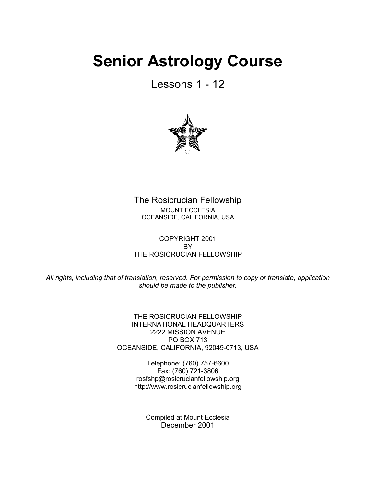# **Senior Astrology Course**

Lessons 1 - 12



The Rosicrucian Fellowship MOUNT ECCLESIA OCEANSIDE, CALIFORNIA, USA

COPYRIGHT 2001 **BY** THE ROSICRUCIAN FELLOWSHIP

*All rights, including that of translation, reserved. For permission to copy or translate, application should be made to the publisher.*

> THE ROSICRUCIAN FELLOWSHIP INTERNATIONAL HEADQUARTERS 2222 MISSION AVENUE PO BOX 713 OCEANSIDE, CALIFORNIA, 92049-0713, USA

> > Telephone: (760) 757-6600 Fax: (760) 721-3806 rosfshp@rosicrucianfellowship.org http://www.rosicrucianfellowship.org

> > > Compiled at Mount Ecclesia December 2001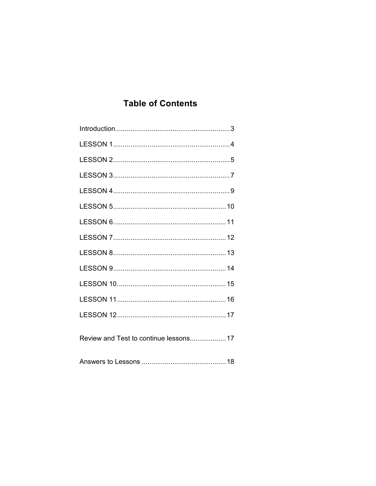## **Table of Contents**

| Review and Test to continue lessons 17 |
|----------------------------------------|
|                                        |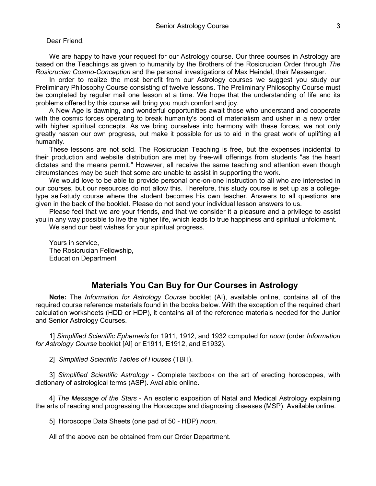#### Dear Friend,

We are happy to have your request for our Astrology course. Our three courses in Astrology are based on the Teachings as given to humanity by the Brothers of the Rosicrucian Order through *The Rosicrucian Cosmo-Conception* and the personal investigations of Max Heindel, their Messenger.

In order to realize the most benefit from our Astrology courses we suggest you study our Preliminary Philosophy Course consisting of twelve lessons. The Preliminary Philosophy Course must be completed by regular mail one lesson at a time. We hope that the understanding of life and its problems offered by this course will bring you much comfort and joy.

A New Age is dawning, and wonderful opportunities await those who understand and cooperate with the cosmic forces operating to break humanity's bond of materialism and usher in a new order with higher spiritual concepts. As we bring ourselves into harmony with these forces, we not only greatly hasten our own progress, but make it possible for us to aid in the great work of uplifting all humanity.

These lessons are not sold. The Rosicrucian Teaching is free, but the expenses incidental to their production and website distribution are met by free-will offerings from students "as the heart dictates and the means permit." However, all receive the same teaching and attention even though circumstances may be such that some are unable to assist in supporting the work.

We would love to be able to provide personal one-on-one instruction to all who are interested in our courses, but our resources do not allow this. Therefore, this study course is set up as a collegetype self-study course where the student becomes his own teacher. Answers to all questions are given in the back of the booklet. Please do not send your individual lesson answers to us.

Please feel that we are your friends, and that we consider it a pleasure and a privilege to assist you in any way possible to live the higher life, which leads to true happiness and spiritual unfoldment.

We send our best wishes for your spiritual progress.

Yours in service, The Rosicrucian Fellowship, Education Department

#### **Materials You Can Buy for Our Courses in Astrology**

**Note:** The *Information for Astrology Course* booklet (AI), available online, contains all of the required course reference materials found in the books below. With the exception of the required chart calculation worksheets (HDD or HDP), it contains all of the reference materials needed for the Junior and Senior Astrology Courses.

1] *Simplified Scientific Ephemeris* for 1911, 1912, and 1932 computed for *noon* (order *Information for Astrology Course* booklet [AI] or E1911, E1912, and E1932).

2] *Simplified Scientific Tables of Houses* (TBH).

3] *Simplified Scientific Astrology* - Complete textbook on the art of erecting horoscopes, with dictionary of astrological terms (ASP). Available online.

4] *The Message of the Stars* - An esoteric exposition of Natal and Medical Astrology explaining the arts of reading and progressing the Horoscope and diagnosing diseases (MSP). Available online.

5] Horoscope Data Sheets (one pad of 50 - HDP) *noon*.

All of the above can be obtained from our Order Department.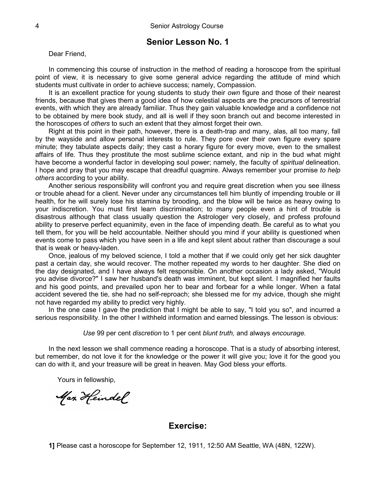Dear Friend,

In commencing this course of instruction in the method of reading a horoscope from the spiritual point of view, it is necessary to give some general advice regarding the attitude of mind which students must cultivate in order to achieve success; namely, Compassion.

It is an excellent practice for young students to study their *own* figure and those of their nearest friends, because that gives them a good idea of how celestial aspects are the precursors of terrestrial events, with which they are already familiar. Thus they gain valuable knowledge and a confidence not to be obtained by mere book study, and all is well if they soon branch out and become interested in the horoscopes of *others* to such an extent that they almost forget their own.

Right at this point in their path, however, there is a death-trap and many, alas, all too many, fall by the wayside and allow personal interests to rule. They pore over their own figure every spare minute; they tabulate aspects daily; they cast a horary figure for every move, even to the smallest affairs of life. Thus they prostitute the most sublime science extant, and nip in the bud what might have become a wonderful factor in developing soul power; namely, the faculty of *spiritual* delineation. I hope and pray that you may escape that dreadful quagmire. Always remember your promise *to help others* according to your ability.

Another serious responsibility will confront you and require great discretion when you see illness or trouble ahead for a client. Never under any circumstances tell him bluntly of impending trouble or ill health, for he will surely lose his stamina by brooding, and the blow will be twice as heavy owing to your indiscretion. You must first learn discrimination; to many people even a hint of trouble is disastrous although that class usually question the Astrologer very closely, and profess profound ability to preserve perfect equanimity, even in the face of impending death. Be careful as to what you tell them, for you will be held accountable. Neither should you mind if your ability is questioned when events come to pass which you have seen in a life and kept silent about rather than discourage a soul that is weak or heavy-laden.

Once, jealous of my beloved science, I told a mother that if we could only get her sick daughter past a certain day, she would recover. The mother repeated my words to her daughter. She died on the day designated, and I have always felt responsible. On another occasion a lady asked, "Would you advise divorce?" I saw her husband's death was imminent, but kept silent. I magnified her faults and his good points, and prevailed upon her to bear and forbear for a while longer. When a fatal accident severed the tie, she had no self-reproach; she blessed me for my advice, though she might not have regarded my ability to predict very highly.

In the one case I gave the prediction that I might be able to say, "I told you so", and incurred a serious responsibility. In the other I withheld information and earned blessings. The lesson is obvious:

*Use* 99 per cent *discretion* to 1 per cent *blunt truth,* and always *encourage.*

In the next lesson we shall commence reading a horoscope. That is a study of absorbing interest, but remember, do not love it for the knowledge or the power it will give you; love it for the good you can do with it, and your treasure will be great in heaven. May God bless your efforts.

Yours in fellowship,

Max Heindel

#### **Exercise:**

**1]** Please cast a horoscope for September 12, 1911, 12:50 AM Seattle, WA (48N, 122W).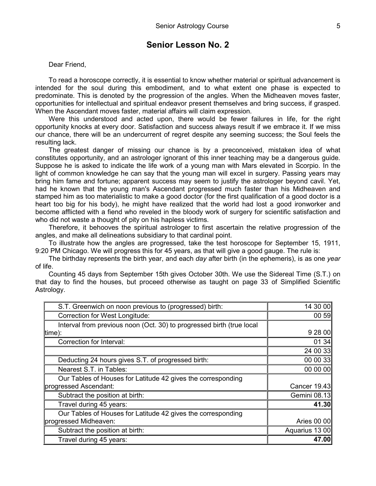Dear Friend,

To read a horoscope correctly, it is essential to know whether material or spiritual advancement is intended for the soul during this embodiment, and to what extent one phase is expected to predominate. This is denoted by the progression of the angles. When the Midheaven moves faster, opportunities for intellectual and spiritual endeavor present themselves and bring success, if grasped. When the Ascendant moves faster, material affairs will claim expression.

Were this understood and acted upon, there would be fewer failures in life, for the right opportunity knocks at every door. Satisfaction and success always result if we embrace it. If we miss our chance, there will be an undercurrent of regret despite any seeming success; the Soul feels the resulting lack.

The greatest danger of missing our chance is by a preconceived, mistaken idea of what constitutes opportunity, and an astrologer ignorant of this inner teaching may be a dangerous guide. Suppose he is asked to indicate the life work of a young man with Mars elevated in Scorpio. In the light of common knowledge he can say that the young man will excel in surgery. Passing years may bring him fame and fortune; apparent success may seem to justify the astrologer beyond cavil. Yet, had he known that the young man's Ascendant progressed much faster than his Midheaven and stamped him as too materialistic to make a good doctor (for the first qualification of a good doctor is a heart too big for his body), he might have realized that the world had lost a good ironworker and become afflicted with a fiend who reveled in the bloody work of surgery for scientific satisfaction and who did not waste a thought of pity on his hapless victims.

Therefore, it behooves the spiritual astrologer to first ascertain the relative progression of the angles, and make all delineations subsidiary to that cardinal point.

To illustrate how the angles are progressed, take the test horoscope for September 15, 1911, 9:20 PM Chicago. We will progress this for 45 years, as that will give a good gauge. The rule is:

The birthday represents the birth year, and each *day* after birth (in the ephemeris), is as one *year* of life.

Counting 45 days from September 15th gives October 30th. We use the Sidereal Time (S.T.) on that day to find the houses, but proceed otherwise as taught on page 33 of Simplified Scientific Astrology.

| S.T. Greenwich on noon previous to (progressed) birth:                | 14 30 00       |
|-----------------------------------------------------------------------|----------------|
| <b>Correction for West Longitude:</b>                                 | 00 59          |
| Interval from previous noon (Oct. 30) to progressed birth (true local |                |
| [time):                                                               | 9 28 00        |
| Correction for Interval:                                              | 0134           |
|                                                                       | 24 00 33       |
| Deducting 24 hours gives S.T. of progressed birth:                    | 00 00 33       |
| Nearest S.T. in Tables:                                               | 00 00 00       |
| Our Tables of Houses for Latitude 42 gives the corresponding          |                |
| progressed Ascendant:                                                 | Cancer 19.43   |
| Subtract the position at birth:                                       | Gemini 08.13   |
| Travel during 45 years:                                               | 41.30          |
| Our Tables of Houses for Latitude 42 gives the corresponding          |                |
| progressed Midheaven:                                                 | Aries 00 00    |
| Subtract the position at birth:                                       | Aquarius 13 00 |
| Travel during 45 years:                                               | 47.00          |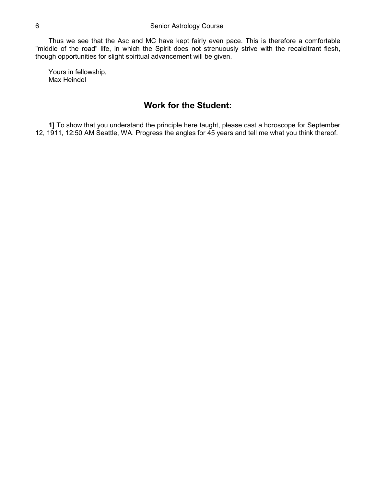Thus we see that the Asc and MC have kept fairly even pace. This is therefore a comfortable "middle of the road" life, in which the Spirit does not strenuously strive with the recalcitrant flesh, though opportunities for slight spiritual advancement will be given.

Yours in fellowship, Max Heindel

## **Work for the Student:**

**1]** To show that you understand the principle here taught, please cast a horoscope for September 12, 1911, 12:50 AM Seattle, WA. Progress the angles for 45 years and tell me what you think thereof.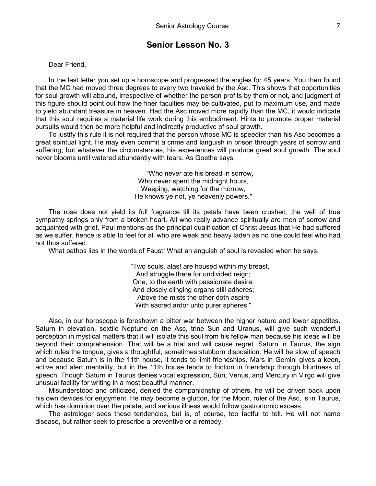Dear Friend,

In the last letter you set up a horoscope and progressed the angles for 45 years. You then found that the MC had moved three degrees to every two traveled by the Asc. This shows that opportunities for soul growth will abound, irrespective of whether the person profits by them or not, and judgment of this figure should point out how the finer faculties may be cultivated, put to maximum use, and made to yield abundant treasure in heaven. Had the Asc moved more rapidly than the MC, it would indicate that this soul requires a material life work during this embodiment. Hints to promote proper material pursuits would then be more helpful and indirectly productive of soul growth.

To justify this rule it is not required that the person whose MC is speedier than his Asc becomes a great spiritual light. He may even commit a crime and languish in prison through years of sorrow and suffering; but whatever the circumstances, his experiences will produce great soul growth. The soul never blooms until watered abundantly with tears. As Goethe says,

> "Who never ate his bread in sorrow, Who never spent the midnight hours, Weeping, watching for the morrow, He knows ye not, ye heavenly powers."

The rose does not yield its full fragrance till its petals have been crushed; the well of true sympathy springs only from a broken heart. All who really advance spiritually are men of sorrow and acquainted with grief. Paul mentions as the principal qualification of Christ Jesus that He had suffered as we suffer, hence is able to feel for all who are weak and heavy laden as no one could feel who had not thus suffered.

What pathos lies in the words of Faust! What an anguish of soul is revealed when he says,

"Two souls, alas! are housed within my breast, And struggle there for undivided reign; One, to the earth with passionate desire, And closely clinging organs still adheres; Above the mists the other doth aspire With sacred ardor unto purer spheres."

Also, in our horoscope is foreshown a bitter war between the higher nature and lower appetites. Saturn in elevation, sextile Neptune on the Asc, trine Sun and Uranus, will give such wonderful perception in mystical matters that it will isolate this soul from his fellow man because his ideas will be beyond their comprehension. That will be a trial and will cause regret. Saturn in Taurus, the sign which rules the tongue, gives a thoughtful, sometimes stubborn disposition. He will be slow of speech and because Saturn is in the 11th house, it tends to limit friendships. Mars in Gemini gives a keen, active and alert mentality, but in the 11th house tends to friction in friendship through bluntness of speech. Though Saturn in Taurus denies vocal expression, Sun, Venus, and Mercury in Virgo will give unusual facility for writing in a most beautiful manner.

Misunderstood and criticized, denied the companionship of others, he will be driven back upon his own devices for enjoyment. He may become a glutton, for the Moon, ruler of the Asc, is in Taurus, which has dominion over the palate, and serious illness would follow gastronomic excess.

The astrologer sees these tendencies, but is, of course, too tactful to tell. He will not name disease, but rather seek to prescribe a preventive or a remedy.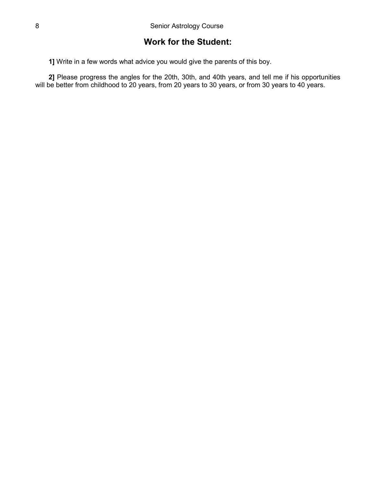## **Work for the Student:**

**1]** Write in a few words what advice you would give the parents of this boy.

**2]** Please progress the angles for the 20th, 30th, and 40th years, and tell me if his opportunities will be better from childhood to 20 years, from 20 years to 30 years, or from 30 years to 40 years.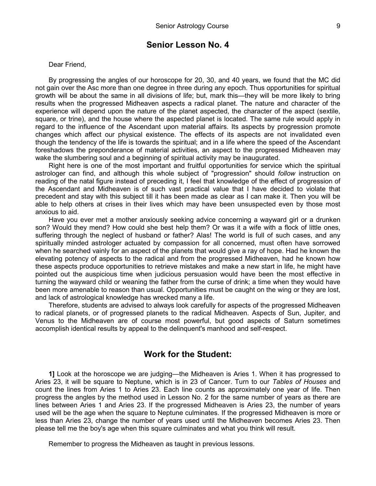Dear Friend,

By progressing the angles of our horoscope for 20, 30, and 40 years, we found that the MC did not gain over the Asc more than one degree in three during any epoch. Thus opportunities for spiritual growth will be about the same in all divisions of life; but, mark this—they will be more likely to bring results when the progressed Midheaven aspects a radical planet. The nature and character of the experience will depend upon the nature of the planet aspected, the character of the aspect (sextile, square, or trine), and the house where the aspected planet is located. The same rule would apply in regard to the influence of the Ascendant upon material affairs. Its aspects by progression promote changes which affect our physical existence. The effects of its aspects are not invalidated even though the tendency of the life is towards the spiritual; and in a life where the speed of the Ascendant foreshadows the preponderance of material activities, an aspect to the progressed Midheaven may wake the slumbering soul and a beginning of spiritual activity may be inaugurated.

Right here is one of the most important and fruitful opportunities for service which the spiritual astrologer can find, and although this whole subject of "progression" should *follow* instruction on reading of the natal figure instead of preceding it, I feel that knowledge of the effect of progression of the Ascendant and Midheaven is of such vast practical value that I have decided to violate that precedent and stay with this subject till it has been made as clear as I can make it. Then you will be able to help others at crises in their lives which may have been unsuspected even by those most anxious to aid.

Have you ever met a mother anxiously seeking advice concerning a wayward girl or a drunken son? Would they mend? How could she best help them? Or was it a wife with a flock of little ones, suffering through the neglect of husband or father? Alas! The world is full of such cases, and any spiritually minded astrologer actuated by compassion for all concerned, must often have sorrowed when he searched vainly for an aspect of the planets that would give a ray of hope. Had he known the elevating potency of aspects to the radical and from the progressed Midheaven, had he known how these aspects produce opportunities to retrieve mistakes and make a new start in life, he might have pointed out the auspicious time when judicious persuasion would have been the most effective in turning the wayward child or weaning the father from the curse of drink; a time when they would have been more amenable to reason than usual. Opportunities must be caught on the wing or they are lost, and lack of astrological knowledge has wrecked many a life.

Therefore, students are advised to always look carefully for aspects of the progressed Midheaven to radical planets, or of progressed planets to the radical Midheaven. Aspects of Sun, Jupiter, and Venus to the Midheaven are of course most powerful, but good aspects of Saturn sometimes accomplish identical results by appeal to the delinquent's manhood and self-respect.

#### **Work for the Student:**

**1]** Look at the horoscope we are judging—the Midheaven is Aries 1. When it has progressed to Aries 23, it will be square to Neptune, which is in 23 of Cancer. Turn to our *Tables of Houses* and count the lines from Aries 1 to Aries 23. Each line counts as approximately one year of life. Then progress the angles by the method used in Lesson No. 2 for the same number of years as there are lines between Aries 1 and Aries 23. If the progressed Midheaven is Aries 23, the number of years used will be the age when the square to Neptune culminates. If the progressed Midheaven is more or less than Aries 23, change the number of years used until the Midheaven becomes Aries 23. Then please tell me the boy's age when this square culminates and what you think will result.

Remember to progress the Midheaven as taught in previous lessons.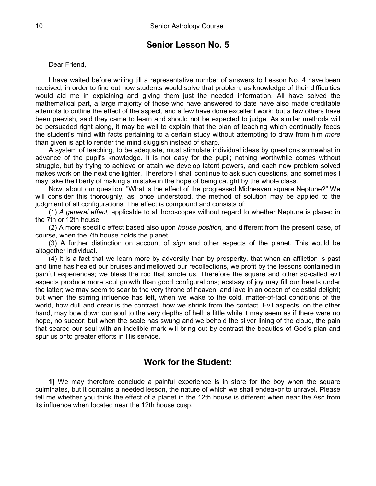#### Dear Friend,

I have waited before writing till a representative number of answers to Lesson No. 4 have been received, in order to find out how students would solve that problem, as knowledge of their difficulties would aid me in explaining and giving them just the needed information. All have solved the mathematical part, a large majority of those who have answered to date have also made creditable attempts to outline the effect of the aspect, and a few have done excellent work; but a few others have been peevish, said they came to learn and should not be expected to judge. As similar methods will be persuaded right along, it may be well to explain that the plan of teaching which continually feeds the student's mind with facts pertaining to a certain study without attempting to draw from him *more* than given is apt to render the mind sluggish instead of sharp.

A system of teaching, to be adequate, must stimulate individual ideas by questions somewhat in advance of the pupil's knowledge. It is not easy for the pupil; nothing worthwhile comes without struggle, but by trying to achieve or attain we develop latent powers, and each new problem solved makes work on the next one lighter. Therefore I shall continue to ask such questions, and sometimes I may take the liberty of making a mistake in the hope of being caught by the whole class.

Now, about our question, "What is the effect of the progressed Midheaven square Neptune?" We will consider this thoroughly, as, once understood, the method of solution may be applied to the judgment of all configurations. The effect is compound and consists of:

(1) *A general effect,* applicable to all horoscopes without regard to whether Neptune is placed in the 7th or 12th house.

(2) A more specific effect based also upon *house position,* and different from the present case, of course, when the 7th house holds the planet.

(3) A further distinction on account of *sign* and other aspects of the planet. This would be altogether individual.

(4) It is a fact that we learn more by adversity than by prosperity, that when an affliction is past and time has healed our bruises and mellowed our recollections, we profit by the lessons contained in painful experiences; we bless the rod that smote us. Therefore the square and other so-called evil aspects produce more soul growth than good configurations; ecstasy of joy may fill our hearts under the latter; we may seem to soar to the very throne of heaven, and lave in an ocean of celestial delight; but when the stirring influence has left, when we wake to the cold, matter-of-fact conditions of the world, how dull and drear is the contrast, how we shrink from the contact. Evil aspects, on the other hand, may bow down our soul to the very depths of hell; a little while it may seem as if there were no hope, no succor; but when the scale has swung and we behold the silver lining of the cloud, the pain that seared our soul with an indelible mark will bring out by contrast the beauties of God's plan and spur us onto greater efforts in His service.

### **Work for the Student:**

**1]** We may therefore conclude a painful experience is in store for the boy when the square culminates, but it contains a needed lesson, the nature of which we shall endeavor to unravel. Please tell me whether you think the effect of a planet in the 12th house is different when near the Asc from its influence when located near the 12th house cusp.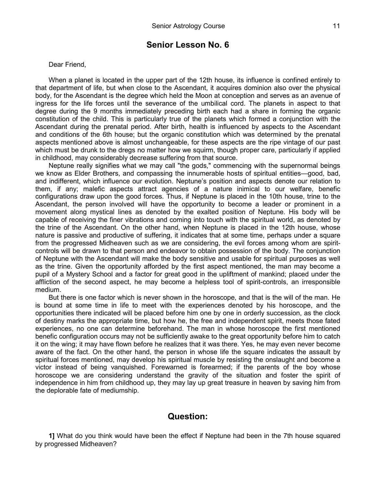#### Dear Friend,

When a planet is located in the upper part of the 12th house, its influence is confined entirely to that department of life, but when close to the Ascendant, it acquires dominion also over the physical body, for the Ascendant is the degree which held the Moon at conception and serves as an avenue of ingress for the life forces until the severance of the umbilical cord. The planets in aspect to that degree during the 9 months immediately preceding birth each had a share in forming the organic constitution of the child. This is particularly true of the planets which formed a conjunction with the Ascendant during the prenatal period. After birth, health is influenced by aspects to the Ascendant and conditions of the 6th house; but the organic constitution which was determined by the prenatal aspects mentioned above is almost unchangeable, for these aspects are the ripe vintage of our past which must be drunk to the dregs no matter how we squirm, though proper care, particularly if applied in childhood, may considerably decrease suffering from that source.

Neptune really signifies what we may call "the gods," commencing with the supernormal beings we know as Elder Brothers, and compassing the innumerable hosts of spiritual entities—good, bad, and indifferent, which influence our evolution. Neptune's position and aspects denote our relation to them, if any; malefic aspects attract agencies of a nature inimical to our welfare, benefic configurations draw upon the good forces. Thus, if Neptune is placed in the 10th house, trine to the Ascendant, the person involved will have the opportunity to become a leader or prominent in a movement along mystical lines as denoted by the exalted position of Neptune. His body will be capable of receiving the finer vibrations and coming into touch with the spiritual world, as denoted by the trine of the Ascendant. On the other hand, when Neptune is placed in the 12th house, whose nature is passive and productive of suffering, it indicates that at some time, perhaps under a square from the progressed Midheaven such as we are considering, the evil forces among whom are spiritcontrols will be drawn to that person and endeavor to obtain possession of the body. The conjunction of Neptune with the Ascendant will make the body sensitive and usable for spiritual purposes as well as the trine. Given the opportunity afforded by the first aspect mentioned, the man may become a pupil of a Mystery School and a factor for great good in the upliftment of mankind; placed under the affliction of the second aspect, he may become a helpless tool of spirit-controls, an irresponsible medium.

But there is one factor which is never shown in the horoscope, and that is the will of the man. He is bound at some time in life to meet with the experiences denoted by his horoscope, and the opportunities there indicated will be placed before him one by one in orderly succession, as the clock of destiny marks the appropriate time, but how he, the free and independent spirit, meets those fated experiences, no one can determine beforehand. The man in whose horoscope the first mentioned benefic configuration occurs may not be sufficiently awake to the great opportunity before him to catch it on the wing; it may have flown before he realizes that it was there. Yes, he may even never become aware of the fact. On the other hand, the person in whose life the square indicates the assault by spiritual forces mentioned, may develop his spiritual muscle by resisting the onslaught and become a victor instead of being vanquished. Forewarned is forearmed; if the parents of the boy whose horoscope we are considering understand the gravity of the situation and foster the spirit of independence in him from childhood up, they may lay up great treasure in heaven by saving him from the deplorable fate of mediumship.

#### **Question:**

**1]** What do you think would have been the effect if Neptune had been in the 7th house squared by progressed Midheaven?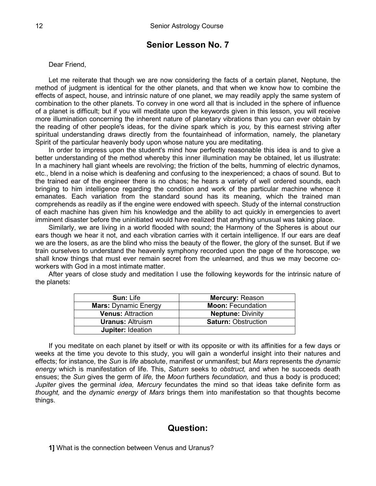#### Dear Friend,

Let me reiterate that though we are now considering the facts of a certain planet, Neptune, the method of judgment is identical for the other planets, and that when we know how to combine the effects of aspect, house, and intrinsic nature of one planet, we may readily apply the same system of combination to the other planets. To convey in one word all that is included in the sphere of influence of a planet is difficult; but if you will meditate upon the keywords given in this lesson, you will receive more illumination concerning the inherent nature of planetary vibrations than you can ever obtain by the reading of other people's ideas, for the divine spark which is *you,* by this earnest striving after spiritual understanding draws directly from the fountainhead of information, namely, the planetary Spirit of the particular heavenly body upon whose nature you are meditating.

In order to impress upon the student's mind how perfectly reasonable this idea is and to give a better understanding of the method whereby this inner illumination may be obtained, let us illustrate: In a machinery hall giant wheels are revolving; the friction of the belts, humming of electric dynamos, etc., blend in a noise which is deafening and confusing to the inexperienced; a chaos of sound. But to the trained ear of the engineer there is no chaos; he hears a variety of well ordered sounds, each bringing to him intelligence regarding the condition and work of the particular machine whence it emanates. Each variation from the standard sound has its meaning, which the trained man comprehends as readily as if the engine were endowed with speech. Study of the internal construction of each machine has given him his knowledge and the ability to act quickly in emergencies to avert imminent disaster before the uninitiated would have realized that anything unusual was taking place.

Similarly, we are living in a world flooded with sound; the Harmony of the Spheres is about our ears though we hear it not, and each vibration carries with it certain intelligence. If our ears are deaf we are the losers, as are the blind who miss the beauty of the flower, the glory of the sunset. But if we train ourselves to understand the heavenly symphony recorded upon the page of the horoscope, we shall know things that must ever remain secret from the unlearned, and thus we may become coworkers with God in a most intimate matter.

After years of close study and meditation I use the following keywords for the intrinsic nature of the planets:

| <b>Sun: Life</b>            | <b>Mercury: Reason</b>     |
|-----------------------------|----------------------------|
| <b>Mars: Dynamic Energy</b> | <b>Moon: Fecundation</b>   |
| <b>Venus: Attraction</b>    | <b>Neptune: Divinity</b>   |
| <b>Uranus: Altruism</b>     | <b>Saturn: Obstruction</b> |
| <b>Jupiter: Ideation</b>    |                            |

If you meditate on each planet by itself or with its opposite or with its affinities for a few days or weeks at the time you devote to this study, you will gain a wonderful insight into their natures and effects; for instance, the *Sun* is *life* absolute, manifest or unmanifest; but *Mars* represents the *dynamic energy* which is manifestation of life. This, *Saturn* seeks to *obstruct,* and when he succeeds death ensues; the *Sun* gives the germ of *life,* the *Moon* furthers *fecundation,* and thus a body is produced; *Jupiter* gives the germinal *idea, Mercury* fecundates the mind so that ideas take definite form as *thought,* and the *dynamic energy* of *Mars* brings them into manifestation so that thoughts become things.

## **Question:**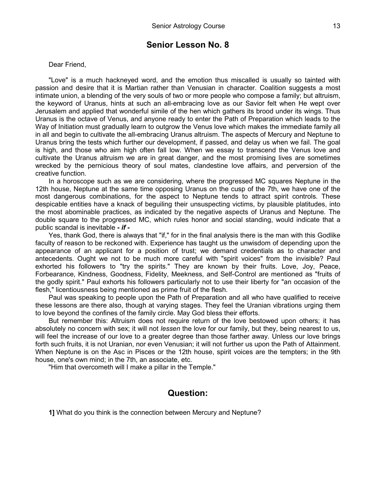Dear Friend,

"Love" is a much hackneyed word, and the emotion thus miscalled is usually so tainted with passion and desire that it is Martian rather than Venusian in character. Coalition suggests a most intimate union, a blending of the very souls of two or more people who compose a family; but altruism, the keyword of Uranus, hints at such an all-embracing love as our Savior felt when He wept over Jerusalem and applied that wonderful simile of the hen which gathers its brood under its wings. Thus Uranus is the octave of Venus, and anyone ready to enter the Path of Preparation which leads to the Way of Initiation must gradually learn to outgrow the Venus love which makes the immediate family all in all and begin to cultivate the all-embracing Uranus altruism. The aspects of Mercury and Neptune to Uranus bring the tests which further our development, if passed, and delay us when we fail. The goal is high, and those who aim high often fall low. When we essay to transcend the Venus love and cultivate the Uranus altruism we are in great danger, and the most promising lives are sometimes wrecked by the pernicious theory of soul mates, clandestine love affairs, and perversion of the creative function.

In a horoscope such as we are considering, where the progressed MC squares Neptune in the 12th house, Neptune at the same time opposing Uranus on the cusp of the 7th, we have one of the most dangerous combinations, for the aspect to Neptune tends to attract spirit controls. These despicable entities have a knack of beguiling their unsuspecting victims, by plausible platitudes, into the most abominable practices, as indicated by the negative aspects of Uranus and Neptune. The double square to the progressed MC, which rules honor and social standing, would indicate that a public scandal is inevitable *- if -*

Yes, thank God, there is always that "if," for in the final analysis there is the man with this Godlike faculty of reason to be reckoned with. Experience has taught us the unwisdom of depending upon the appearance of an applicant for a position of trust; we demand credentials as to character and antecedents. Ought we not to be much more careful with "spirit voices" from the invisible? Paul exhorted his followers to "try the spirits." They are known by their fruits. Love, Joy, Peace, Forbearance, Kindness, Goodness, Fidelity, Meekness, and Self-Control are mentioned as "fruits of the godly spirit." Paul exhorts his followers particularly not to use their liberty for "an occasion of the flesh," licentiousness being mentioned as prime fruit of the flesh.

Paul was speaking to people upon the Path of Preparation and all who have qualified to receive these lessons are there also, though at varying stages. They feel the Uranian vibrations urging them to love beyond the confines of the family circle. May God bless their efforts.

But remember this: Altruism does not require return of the love bestowed upon others; it has absolutely no concern with sex; it will not *lessen* the love for our family, but they, being nearest to us, will feel the increase of our love to a greater degree than those farther away. Unless our love brings forth such fruits, it is not Uranian, nor even Venusian; it will not further us upon the Path of Attainment. When Neptune is on the Asc in Pisces or the 12th house, spirit voices are the tempters; in the 9th house, one's own mind; in the 7th, an associate, etc.

"Him that overcometh will I make a pillar in the Temple."

#### **Question:**

**1]** What do you think is the connection between Mercury and Neptune?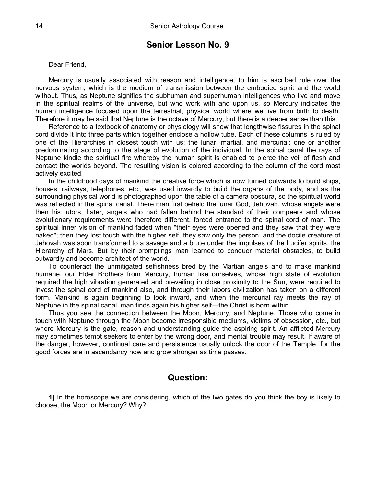#### Dear Friend,

Mercury is usually associated with reason and intelligence; to him is ascribed rule over the nervous system, which is the medium of transmission between the embodied spirit and the world without. Thus, as Neptune signifies the subhuman and superhuman intelligences who live and move in the spiritual realms of the universe, but who work with and upon us, so Mercury indicates the human intelligence focused upon the terrestrial, physical world where we live from birth to death. Therefore it may be said that Neptune is the octave of Mercury, but there is a deeper sense than this.

Reference to a textbook of anatomy or physiology will show that lengthwise fissures in the spinal cord divide it into three parts which together enclose a hollow tube. Each of these columns is ruled by one of the Hierarchies in closest touch with us; the lunar, martial, and mercurial; one or another predominating according to the stage of evolution of the individual. In the spinal canal the rays of Neptune kindle the spiritual fire whereby the human spirit is enabled to pierce the veil of flesh and contact the worlds beyond. The resulting vision is colored according to the column of the cord most actively excited.

In the childhood days of mankind the creative force which is now turned outwards to build ships, houses, railways, telephones, etc., was used inwardly to build the organs of the body, and as the surrounding physical world is photographed upon the table of a camera obscura, so the spiritual world was reflected in the spinal canal. There man first beheld the lunar God, Jehovah, whose angels were then his tutors. Later, angels who had fallen behind the standard of their compeers and whose evolutionary requirements were therefore different, forced entrance to the spinal cord of man. The spiritual inner vision of mankind faded when "their eyes were opened and they saw that they were naked"; then they lost touch with the higher self, they saw only the person, and the docile creature of Jehovah was soon transformed to a savage and a brute under the impulses of the Lucifer spirits, the Hierarchy of Mars. But by their promptings man learned to conquer material obstacles, to build outwardly and become architect of the world.

To counteract the unmitigated selfishness bred by the Martian angels and to make mankind humane, our Elder Brothers from Mercury, human like ourselves, whose high state of evolution required the high vibration generated and prevailing in close proximity to the Sun, were required to invest the spinal cord of mankind also, and through their labors civilization has taken on a different form. Mankind is again beginning to look inward, and when the mercurial ray meets the ray of Neptune in the spinal canal, man finds again his higher self—the Christ is born within.

Thus you see the connection between the Moon, Mercury, and Neptune. Those who come in touch with Neptune through the Moon become irresponsible mediums, victims of obsession, etc., but where Mercury is the gate, reason and understanding guide the aspiring spirit. An afflicted Mercury may sometimes tempt seekers to enter by the wrong door, and mental trouble may result. If aware of the danger, however, continual care and persistence usually unlock the door of the Temple, for the good forces are in ascendancy now and grow stronger as time passes.

#### **Question:**

**1]** In the horoscope we are considering, which of the two gates do you think the boy is likely to choose, the Moon or Mercury? Why?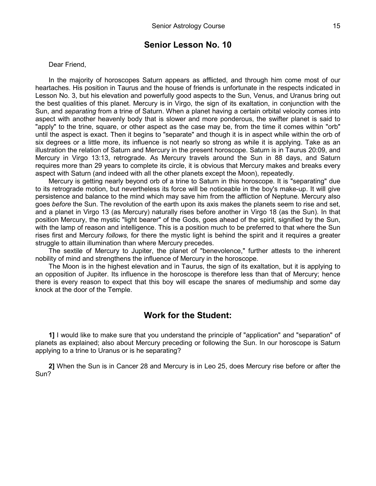Dear Friend,

In the majority of horoscopes Saturn appears as afflicted, and through him come most of our heartaches. His position in Taurus and the house of friends is unfortunate in the respects indicated in Lesson No. 3, but his elevation and powerfully good aspects to the Sun, Venus, and Uranus bring out the best qualities of this planet. Mercury is in Virgo, the sign of its exaltation, in conjunction with the Sun, and *separating* from a trine of Saturn. When a planet having a certain orbital velocity comes into aspect with another heavenly body that is slower and more ponderous, the swifter planet is said to "apply" to the trine, square, or other aspect as the case may be, from the time it comes within "orb" until the aspect is exact. Then it begins to "separate" and though it is in aspect while within the orb of six degrees or a little more, its influence is not nearly so strong as while it is applying. Take as an illustration the relation of Saturn and Mercury in the present horoscope. Saturn is in Taurus 20:09, and Mercury in Virgo 13:13, retrograde. As Mercury travels around the Sun in 88 days, and Saturn requires more than 29 years to complete its circle, it is obvious that Mercury makes and breaks every aspect with Saturn (and indeed with all the other planets except the Moon), repeatedly.

Mercury is getting nearly beyond orb of a trine to Saturn in this horoscope. It is "separating" due to its retrograde motion, but nevertheless its force will be noticeable in the boy's make-up. It will give persistence and balance to the mind which may save him from the affliction of Neptune. Mercury also goes *before* the Sun. The revolution of the earth upon its axis makes the planets seem to rise and set, and a planet in Virgo 13 (as Mercury) naturally rises before another in Virgo 18 (as the Sun). In that position Mercury, the mystic "light bearer" of the Gods, goes ahead of the spirit, signified by the Sun, with the lamp of reason and intelligence. This is a position much to be preferred to that where the Sun rises first and Mercury *follows,* for there the mystic light is behind the spirit and it requires a greater struggle to attain illumination than where Mercury precedes.

The sextile of Mercury to Jupiter, the planet of "benevolence," further attests to the inherent nobility of mind and strengthens the influence of Mercury in the horoscope.

The Moon is in the highest elevation and in Taurus, the sign of its exaltation, but it is applying to an opposition of Jupiter. Its influence in the horoscope is therefore less than that of Mercury; hence there is every reason to expect that this boy will escape the snares of mediumship and some day knock at the door of the Temple.

#### **Work for the Student:**

**1]** I would like to make sure that you understand the principle of "application" and "separation" of planets as explained; also about Mercury preceding or following the Sun. In our horoscope is Saturn applying to a trine to Uranus or is he separating?

**2]** When the Sun is in Cancer 28 and Mercury is in Leo 25, does Mercury rise before or after the Sun?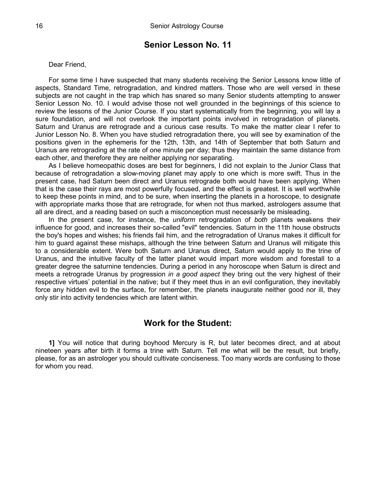#### Dear Friend,

For some time I have suspected that many students receiving the Senior Lessons know little of aspects, Standard Time, retrogradation, and kindred matters. Those who are well versed in these subjects are not caught in the trap which has snared so many Senior students attempting to answer Senior Lesson No. 10. I would advise those not well grounded in the beginnings of this science to review the lessons of the Junior Course. If you start systematically from the beginning, you will lay a sure foundation, and will not overlook the important points involved in retrogradation of planets. Saturn and Uranus are retrograde and a curious case results. To make the matter clear I refer to Junior Lesson No. 8. When you have studied retrogradation there, you will see by examination of the positions given in the ephemeris for the 12th, 13th, and 14th of September that both Saturn and Uranus are retrograding at the rate of one minute per day; thus they maintain the same distance from each other, and therefore they are neither applying nor separating.

As I believe homeopathic doses are best for beginners, I did not explain to the Junior Class that because of retrogradation a slow-moving planet may apply to one which is more swift. Thus in the present case, had Saturn been direct and Uranus retrograde both would have been applying. When that is the case their rays are most powerfully focused, and the effect is greatest. It is well worthwhile to keep these points in mind, and to be sure, when inserting the planets in a horoscope, to designate with appropriate marks those that are retrograde, for when not thus marked, astrologers assume that all are direct, and a reading based on such a misconception must necessarily be misleading.

In the present case, for instance, the *uniform* retrogradation of *both* planets weakens their influence for good, and increases their so-called "evil" tendencies. Saturn in the 11th house obstructs the boy's hopes and wishes; his friends fail him, and the retrogradation of Uranus makes it difficult for him to guard against these mishaps, although the trine between Saturn and Uranus will mitigate this to a considerable extent. Were both Saturn and Uranus direct, Saturn would apply to the trine of Uranus, and the intuitive faculty of the latter planet would impart more wisdom and forestall to a greater degree the saturnine tendencies. During a period in any horoscope when Saturn is direct and meets a retrograde Uranus by progression *in a good aspect* they bring out the very highest of their respective virtues' potential in the native; but if they meet thus in an evil configuration, they inevitably force any hidden evil to the surface, for remember, the planets inaugurate neither good nor ill, they only stir into activity tendencies which are latent within.

#### **Work for the Student:**

**1]** You will notice that during boyhood Mercury is R, but later becomes direct, and at about nineteen years after birth it forms a trine with Saturn. Tell me what will be the result, but briefly, please, for as an astrologer you should cultivate conciseness. Too many words are confusing to those for whom you read.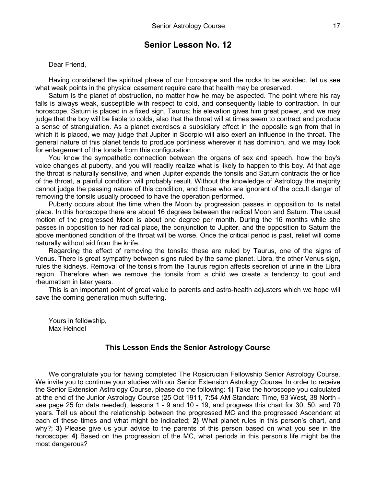Dear Friend,

Having considered the spiritual phase of our horoscope and the rocks to be avoided, let us see what weak points in the physical casement require care that health may be preserved.

Saturn is the planet of obstruction, no matter how he may be aspected. The point where his ray falls is always weak, susceptible with respect to cold, and consequently liable to contraction. In our horoscope, Saturn is placed in a fixed sign, Taurus; his elevation gives him great power, and we may judge that the boy will be liable to colds, also that the throat will at times seem to contract and produce a sense of strangulation. As a planet exercises a subsidiary effect in the opposite sign from that in which it is placed, we may judge that Jupiter in Scorpio will also exert an influence in the throat. The general nature of this planet tends to produce portliness wherever it has dominion, and we may look for enlargement of the tonsils from this configuration.

You know the sympathetic connection between the organs of sex and speech, how the boy's voice changes at puberty, and you will readily realize what is likely to happen to this boy. At that age the throat is naturally sensitive, and when Jupiter expands the tonsils and Saturn contracts the orifice of the throat, a painful condition will probably result. Without the knowledge of Astrology the majority cannot judge the passing nature of this condition, and those who are ignorant of the occult danger of removing the tonsils usually proceed to have the operation performed.

Puberty occurs about the time when the Moon by progression passes in opposition to its natal place. In this horoscope there are about 16 degrees between the radical Moon and Saturn. The usual motion of the progressed Moon is about one degree per month. During the 16 months while she passes in opposition to her radical place, the conjunction to Jupiter, and the opposition to Saturn the above mentioned condition of the throat will be worse. Once the critical period is past, relief will come naturally without aid from the knife.

Regarding the effect of removing the tonsils: these are ruled by Taurus, one of the signs of Venus. There is great sympathy between signs ruled by the same planet. Libra, the other Venus sign, rules the kidneys. Removal of the tonsils from the Taurus region affects secretion of urine in the Libra region. Therefore when we remove the tonsils from a child we create a tendency to gout and rheumatism in later years.

This is an important point of great value to parents and astro-health adjusters which we hope will save the coming generation much suffering.

Yours in fellowship, Max Heindel

#### **This Lesson Ends the Senior Astrology Course**

We congratulate you for having completed The Rosicrucian Fellowship Senior Astrology Course. We invite you to continue your studies with our Senior Extension Astrology Course. In order to receive the Senior Extension Astrology Course, please do the following: **1)** Take the horoscope you calculated at the end of the Junior Astrology Course (25 Oct 1911, 7:54 AM Standard Time, 93 West, 38 North see page 25 for data needed), lessons 1 - 9 and 10 - 19, and progress this chart for 30, 50, and 70 years. Tell us about the relationship between the progressed MC and the progressed Ascendant at each of these times and what might be indicated; **2)** What planet rules in this person's chart, and why?; **3)** Please give us your advice to the parents of this person based on what you see in the horoscope; **4)** Based on the progression of the MC, what periods in this person's life might be the most dangerous?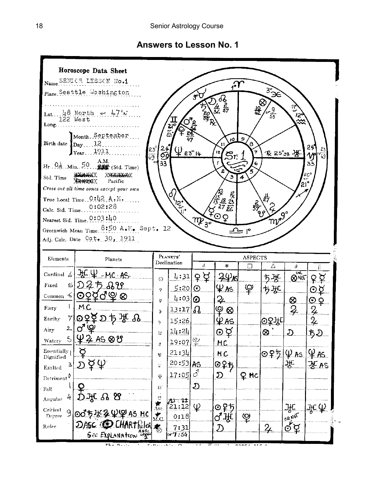## **Answers to Lesson No. 1**

|                                    | Horoscope Data Sheet                                                                              |                                      |                                                        |                      |                                                                                                         |                  |                  |                |                         |
|------------------------------------|---------------------------------------------------------------------------------------------------|--------------------------------------|--------------------------------------------------------|----------------------|---------------------------------------------------------------------------------------------------------|------------------|------------------|----------------|-------------------------|
|                                    | Name SENICR LESSON No.1                                                                           |                                      |                                                        |                      | $\bm{\mathcal{X}}$                                                                                      |                  |                  |                |                         |
|                                    | Place Seattle Washington                                                                          |                                      |                                                        | $g^{\lambda}$        |                                                                                                         |                  | $3\frac{1}{2}$   |                |                         |
|                                    |                                                                                                   |                                      |                                                        |                      | 5 02<br>36 <del>87</del>                                                                                |                  | $\otimes$        | 贤              |                         |
|                                    | Lat $\frac{118}{122}$ Worth en $\frac{17}{17}$ N                                                  |                                      |                                                        | $\frac{2}{66}$ R     |                                                                                                         | 投                | $\frac{9}{58}$   | $\frac{15}{3}$ |                         |
| Long                               |                                                                                                   |                                      | $\frac{21}{2}$                                         |                      |                                                                                                         |                  |                  |                |                         |
|                                    | Month September                                                                                   |                                      |                                                        |                      | 10 <sub>1</sub>                                                                                         | $\mathbf S$      |                  |                |                         |
| Birth date $\int_{\text{Day}}$ 12. |                                                                                                   |                                      |                                                        |                      | 11                                                                                                      | A<br>7           |                  |                | 24<br>$\mathbf{S}$      |
|                                    | $r_{\text{ear}}$ 1911                                                                             | $rac{23^{5}}{149}$<br>$\frac{24}{5}$ | ليا <u>وه</u> °µ                                       |                      | 12<br>$\mathcal{S}$ r:                                                                                  |                  | 仅 25°38 光        |                | 79                      |
|                                    | $H_r$ , $\Omega_{\mathcal{Q}}$ , $\text{Min. } 50$ , $\frac{\text{A.M.}}{\text{M/m}}$ (Std. Time) | 33                                   |                                                        |                      |                                                                                                         | 6                |                  |                | ڏڌ                      |
| Std. Time                          | XXXXXXXXXX<br>Pacific<br><b>XXXXXXXXX</b>                                                         |                                      |                                                        |                      | э                                                                                                       | 4                |                  | $21^{\circ}$   | eco<br>"                |
|                                    | Cross out all time zones except your own                                                          |                                      | d)                                                     |                      |                                                                                                         |                  |                  |                |                         |
|                                    | True Local Time 0:42 A.M.                                                                         |                                      | $\mathbf{J}^{\mathbf{S}_\bullet}_{\mathbf{S}_\bullet}$ |                      |                                                                                                         |                  | 药                |                |                         |
| Cale. Sid. Time                    | 0:02:28                                                                                           |                                      |                                                        |                      |                                                                                                         |                  |                  |                |                         |
|                                    | Nearest Sid. Time. 0:03:40                                                                        |                                      |                                                        | $\mathfrak{m}_{3^o}$ |                                                                                                         |                  | mogo             |                |                         |
|                                    | Greenwich Mean Time. 8:50 A.M. Sept. 12<br>Adj. Calc. Date Oct. 30, 1911                          |                                      |                                                        |                      |                                                                                                         | ما <del>-ت</del> |                  |                |                         |
|                                    |                                                                                                   |                                      |                                                        |                      |                                                                                                         |                  |                  |                |                         |
| Elements                           | Planets                                                                                           |                                      | PLANETS'<br>Declination                                |                      |                                                                                                         | <b>ASPECTS</b>   |                  |                |                         |
|                                    | Cardinal $41.4C + MC \cdot AS$                                                                    |                                      |                                                        | ď                    | $\ast$                                                                                                  | □                | Δ                | 8<br>ञ्च       |                         |
| Fixed<br>$\leq$                    | <u> D25 BV </u>                                                                                   | $\odot$                              | $\frac{1}{2}$ : 31<br>5:20                             | ₽₽<br>$\odot$        | ≩¥≴<br>⊈∧ร                                                                                              | $\mathcal{Q}$    | <u>ち渋</u>        | <b>QNOT</b>    | ≩≨                      |
| Common $\leq$                      |                                                                                                   |                                      |                                                        |                      |                                                                                                         |                  |                  |                |                         |
|                                    |                                                                                                   | Q                                    |                                                        |                      |                                                                                                         |                  | ち氷               |                | ⊙ă                      |
| Fiery                              | <u>ଚହ⊈ଟ୍କ ⊗</u><br>M.C                                                                            | ö                                    | $4:03$ $\odot$                                         |                      | 2.                                                                                                      |                  |                  | ⊗.             | QQ                      |
| Earthy                             |                                                                                                   | D                                    | 13:17                                                  | $\Omega_{\rm s}$     | <u> ୧ ର</u>                                                                                             |                  |                  | 2              | Ļ                       |
| 2.                                 |                                                                                                   | Ņ                                    | 15:26                                                  |                      | $\mathfrak{L}$ as.                                                                                      |                  | ⊙ਨੌਮਿ            |                | $\frac{2}{\mathcal{L}}$ |
| Airy                               |                                                                                                   | $\overline{\mathcal{L}}$             | 14:24                                                  |                      | ල ප                                                                                                     |                  | 60               |                | ちり                      |
| Watery<br>Essentially <sub>1</sub> | 5 4 4 4 5 0 8                                                                                     | \$                                   | 19:07                                                  | $\mathfrak{P}$       | MC.                                                                                                     |                  |                  |                |                         |
| Dignified                          |                                                                                                   | Ħ                                    | 21:34                                                  |                      | NC                                                                                                      |                  | <u>Θ₽5 Ψ As.</u> |                | 44.45                   |
| Exalted                            | $\phi \, \omega$                                                                                  | $\ddot{\ddot{\cdot}}$                | 20:53 AS                                               |                      | 025                                                                                                     |                  |                  | 꾟              | F. as                   |
| Detriment <sup>0</sup>             |                                                                                                   | Ŷ                                    | 17:05                                                  | 3                    | $\mathfrak{D}% _{T}=\mathfrak{D}_{T}\!\left( a,b\right) ,\ \mathfrak{D}_{T}=C_{T}\!\left( a,b\right) ,$ | <u>Q nc</u>      |                  |                |                         |
| Fall                               |                                                                                                   | $\Omega$                             |                                                        | D.                   |                                                                                                         |                  |                  |                |                         |
| Angular                            | පි                                                                                                |                                      |                                                        |                      |                                                                                                         |                  |                  |                |                         |
| Critical<br>9<br>Degree            | HC<br>00                                                                                          | $\frac{9}{\text{Asc}}$               | 71 - 22<br>21:12<br>0:18                               | $\mathcal{Q}$        | ⊙₽5                                                                                                     |                  |                  | Ж              |                         |
| Ruler                              | DASC.<br>' LHARTIGLERI<br>See Explanation Legal                                                   | $\sum_{M,G}$<br>る                    | 7:31                                                   |                      | ♂₩<br>D                                                                                                 | .ହ               | $\overline{2}$   | DRNOT<br>ර ර   |                         |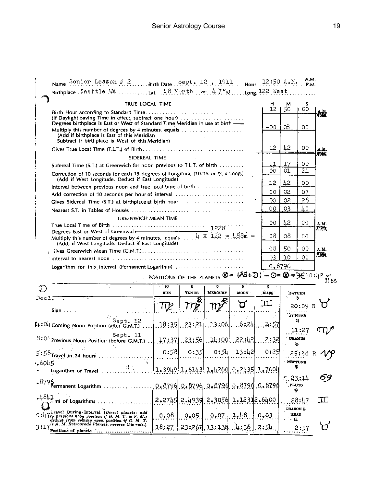|         | TRUE LOCAL TIME                                                                                                                                         |                                                                                                                                           |                                           |                                   |                  | н                | м                                   | S                           |             |
|---------|---------------------------------------------------------------------------------------------------------------------------------------------------------|-------------------------------------------------------------------------------------------------------------------------------------------|-------------------------------------------|-----------------------------------|------------------|------------------|-------------------------------------|-----------------------------|-------------|
|         | (If Daylight Saving Time in effect, subtract one hour)<br>Degrees birthplace is East or West of Standard Time Meridian in use at birth -                |                                                                                                                                           |                                           |                                   |                  | 12.              | 50                                  | 00                          | А.М.<br>溶凝  |
|         | Multiply this number of degrees by 4 minutes, equals<br>(Add if birthplace is East of this Meridian<br>Subtract if birthplace is West of this Meridian) |                                                                                                                                           |                                           |                                   |                  | $-00$            | Œ                                   | ΟO                          |             |
|         |                                                                                                                                                         |                                                                                                                                           |                                           |                                   |                  | 12               | 42                                  | 00                          | A.M.        |
|         | SIDEREAL TIME                                                                                                                                           |                                                                                                                                           |                                           |                                   |                  |                  |                                     |                             | 突张          |
|         | Sidereal Time (S.T.) at Greenwich for noon previous to T.L.T. of birth                                                                                  |                                                                                                                                           |                                           |                                   |                  | 11               | 17                                  | 00                          |             |
|         | Correction of 10 seconds for each 15 degrees of Longitude (10/15 or $\frac{26}{3}$ x Long.)<br>(Add if West Longitude. Deduct if East Longitude)        |                                                                                                                                           |                                           |                                   |                  | 00               | 01                                  | 21                          |             |
|         | Interval between previous noon and true local time of birth                                                                                             |                                                                                                                                           |                                           |                                   |                  | 12               | $\frac{1}{2}$                       | 00                          |             |
|         | Add correction of 10 seconds per hour of interval                                                                                                       |                                                                                                                                           |                                           |                                   |                  | 00               | 02                                  | 07                          |             |
|         | Gives Sidereal Time (S.T.) at birthplace at birth hour                                                                                                  |                                                                                                                                           |                                           |                                   |                  | OΟ               | 02                                  | 28                          |             |
|         |                                                                                                                                                         |                                                                                                                                           |                                           |                                   |                  | 00               | 03                                  | 40                          |             |
|         | <b>GREENWICH MEAN TIME</b>                                                                                                                              |                                                                                                                                           |                                           |                                   |                  | ٥o               | 42                                  | OO                          | A.M.<br>PAX |
|         | Multiply this number of degrees by 4 minutes, equals $\ldots$ , 4. $X$ , 122. = $\mu$ 88m =                                                             |                                                                                                                                           |                                           |                                   |                  | 08               | 08                                  | CO.                         |             |
|         | (Add, if West Longitude. Deduct if East Longitude)                                                                                                      |                                                                                                                                           |                                           |                                   |                  | 08               | 50                                  | 00                          | A.M.        |
|         |                                                                                                                                                         |                                                                                                                                           |                                           |                                   |                  | 03               | 10                                  | 00                          | 海纹          |
|         |                                                                                                                                                         |                                                                                                                                           |                                           |                                   |                  |                  |                                     |                             |             |
|         |                                                                                                                                                         |                                                                                                                                           |                                           |                                   |                  |                  |                                     |                             |             |
|         | Logarithm for this interval (Permanent Logarithm)                                                                                                       |                                                                                                                                           |                                           |                                   |                  | 0.8796           |                                     |                             |             |
|         |                                                                                                                                                         | POSITIONS OF THE PLANETS $\otimes$ = $(\overline{AS} + \mathfrak{D})$ - $\odot = \otimes = \mathfrak{F}$ = $\mathfrak{F}$ 10:42 $\approx$ |                                           |                                   |                  |                  |                                     |                             |             |
| V.      |                                                                                                                                                         | ত<br><b>BUN</b>                                                                                                                           | ē.<br><b>VENUS</b>                        | ñ<br><b>MERCURY</b>               | Ъ<br><b>MOON</b> | đ<br><b>MARS</b> |                                     | <b>SATURN</b>               |             |
| Decl.   |                                                                                                                                                         |                                                                                                                                           |                                           |                                   |                  |                  |                                     | ь                           |             |
|         |                                                                                                                                                         | TTP                                                                                                                                       |                                           | $\eta_{\boldsymbol{\mathcal{I}}}$ |                  | ℡                |                                     | 20:09 R                     |             |
|         |                                                                                                                                                         |                                                                                                                                           |                                           |                                   |                  |                  |                                     | JUPITER                     |             |
|         | Sept. 12<br>$\mu$ : $04$ Coming Noon Position (after G.M.T.)                                                                                            | 18:35                                                                                                                                     | .23:21                                    | . 13:06.                          | ايا2: 6.         | .2:57            |                                     | 21                          |             |
|         | Sept. 11                                                                                                                                                |                                                                                                                                           |                                           |                                   |                  | 2:32             |                                     | 11:27<br><b>UPANUS</b><br>W |             |
|         |                                                                                                                                                         | 0:58                                                                                                                                      | 0:35                                      | 0:54                              | 13:42            | 0:29             |                                     | 25:38                       | R           |
| .6045   |                                                                                                                                                         |                                                                                                                                           |                                           |                                   |                  |                  |                                     | <b>NEPTUNE</b>              |             |
|         |                                                                                                                                                         |                                                                                                                                           |                                           |                                   |                  |                  |                                     |                             |             |
|         | $\cdot$ 8796<br>Permanent Logarithm                                                                                                                     |                                                                                                                                           | $0.8796$ , 0.8796, 0.8796, 0.8796, 0.8796 |                                   |                  |                  | 7.23.14<br><b>PLUTO</b><br>Ŷ        |                             | 69          |
| $-4841$ | ്. m of Logarithms                                                                                                                                      | 2.2745                                                                                                                                    |                                           | 2.4939 2.3056 1.12312.6400        |                  |                  |                                     | 28։կ7                       | ᄑ           |
|         | i ravel During Interval (Direct planets: add<br>$0:47$ to previous noon position if G. M. T. is P. M.;<br>deduct from coming noon position if G. M. T.  | 0.08                                                                                                                                      | 0.05                                      | 0.07                              | 1,48             | 0.03             | <b>DRAGON'S</b><br><b>HEAD</b><br>a |                             |             |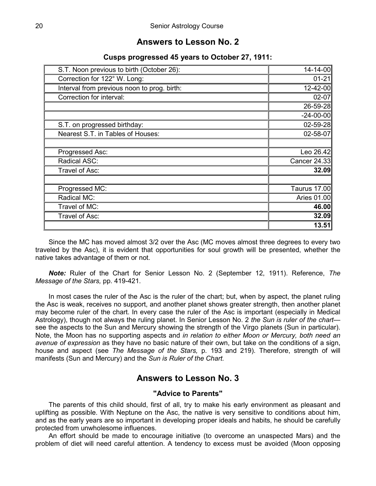## **Answers to Lesson No. 2**

### **Cusps progressed 45 years to October 27, 1911:**

| S.T. Noon previous to birth (October 26):   | 14-14-00        |
|---------------------------------------------|-----------------|
| Correction for 122° W. Long:                | $01 - 21$       |
| Interval from previous noon to prog. birth: | 12-42-00        |
| Correction for interval:                    | $02 - 07$       |
|                                             | 26-59-28        |
|                                             | $-24 - 00 - 00$ |
| S.T. on progressed birthday:                | $02 - 59 - 28$  |
| Nearest S.T. in Tables of Houses:           | $02 - 58 - 07$  |
|                                             |                 |
| Progressed Asc:                             | Leo 26.42       |
| Radical ASC:                                | Cancer 24.33    |
| Travel of Asc:                              | 32.09           |
|                                             |                 |
| Progressed MC:                              | Taurus 17.00    |
| Radical MC:                                 | Aries 01.00     |
| Travel of MC:                               | 46.00           |
| Travel of Asc:                              | 32.09           |
|                                             | 13.51           |

Since the MC has moved almost 3/2 over the Asc (MC moves almost three degrees to every two traveled by the Asc), it is evident that opportunities for soul growth will be presented, whether the native takes advantage of them or not.

*Note:* Ruler of the Chart for Senior Lesson No. 2 (September 12, 1911). Reference, *The Message of the Stars,* pp. 419-421.

In most cases the ruler of the Asc is the ruler of the chart; but, when by aspect, the planet ruling the Asc is weak, receives no support, and another planet shows greater strength, then another planet may become ruler of the chart. In every case the ruler of the Asc is important (especially in Medical Astrology), though not always the ruling planet. In Senior Lesson No. 2 *the Sun is ruler of the chart* see the aspects to the Sun and Mercury showing the strength of the Virgo planets (Sun in particular). Note, the Moon has no supporting aspects and *in relation to either Moon or Mercury, both need an avenue of expression* as they have no basic nature of their own, but take on the conditions of a sign, house and aspect (see *The Message of the Stars,* p. 193 and 219). Therefore, strength of will manifests (Sun and Mercury) and the *Sun is Ruler of the Chart.*

#### **Answers to Lesson No. 3**

#### **"Advice to Parents"**

The parents of this child should, first of all, try to make his early environment as pleasant and uplifting as possible. With Neptune on the Asc, the native is very sensitive to conditions about him, and as the early years are so important in developing proper ideals and habits, he should be carefully protected from unwholesome influences.

An effort should be made to encourage initiative (to overcome an unaspected Mars) and the problem of diet will need careful attention. A tendency to excess must be avoided (Moon opposing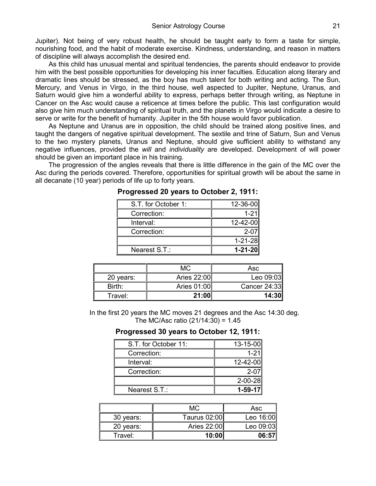Jupiter). Not being of very robust health, he should be taught early to form a taste for simple, nourishing food, and the habit of moderate exercise. Kindness, understanding, and reason in matters of discipline will always accomplish the desired end.

As this child has unusual mental and spiritual tendencies, the parents should endeavor to provide him with the best possible opportunities for developing his inner faculties. Education along literary and dramatic lines should be stressed, as the boy has much talent for both writing and acting. The Sun, Mercury, and Venus in Virgo, in the third house, well aspected to Jupiter, Neptune, Uranus, and Saturn would give him a wonderful ability to express, perhaps better through writing, as Neptune in Cancer on the Asc would cause a reticence at times before the public. This last configuration would also give him much understanding of spiritual truth, and the planets in Virgo would indicate a desire to serve or write for the benefit of humanity. Jupiter in the 5th house would favor publication.

As Neptune and Uranus are in opposition, the child should be trained along positive lines, and taught the dangers of negative spiritual development. The sextile and trine of Saturn, Sun and Venus to the two mystery planets, Uranus and Neptune, should give sufficient ability to withstand any negative influences, provided the *will* and *individuality* are developed. Development of will power should be given an important place in his training.

The progression of the angles reveals that there is little difference in the gain of the MC over the Asc during the periods covered. Therefore, opportunities for spiritual growth will be about the same in all decanate (10 year) periods of life up to forty years.

| S.T. for October 1: | 12-36-00      |
|---------------------|---------------|
| Correction:         | $1 - 21$      |
| Interval:           | 12-42-00      |
| Correction:         | $2 - 07$      |
|                     | $1 - 21 - 28$ |
| Nearest S.T.:       | $1 - 21 - 20$ |

**Progressed 20 years to October 2, 1911:**

|           | МC          | Asc          |
|-----------|-------------|--------------|
| 20 years: | Aries 22:00 | Leo 09:03    |
| Birth:    | Aries 01:00 | Cancer 24:33 |
| Travel:   | 21:00       | 14:30        |

In the first 20 years the MC moves 21 degrees and the Asc 14:30 deg. The MC/Asc ratio  $(21/14:30) = 1.45$ 

#### **Progressed 30 years to October 12, 1911:**

| S.T. for October 11: | 13-15-00      |
|----------------------|---------------|
| Correction:          | $1 - 21$      |
| Interval:            | 12-42-00      |
| Correction:          | $2 - 07$      |
|                      | $2 - 00 - 28$ |
| Nearest S.T.:        | $1 - 59 - 17$ |

|           | МC           | Asc       |
|-----------|--------------|-----------|
| 30 years: | Taurus 02:00 | Leo 16:00 |
| 20 years: | Aries 22:00  | Leo 09:03 |
| Travel:   | 10:00        | 06:57     |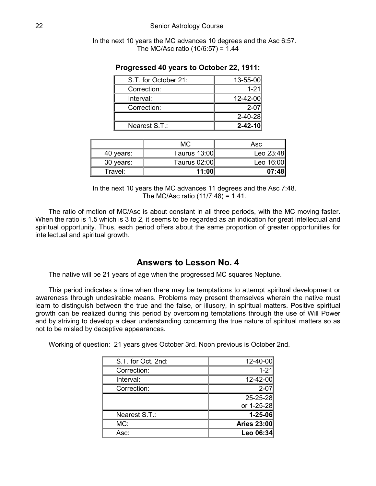In the next 10 years the MC advances 10 degrees and the Asc 6:57. The MC/Asc ratio  $(10/6:57) = 1.44$ 

| S.T. for October 21: | 13-55-00      |
|----------------------|---------------|
| Correction:          | $1 - 21$      |
| Interval:            | 12-42-00      |
| Correction:          | $2 - 07$      |
|                      | $2 - 40 - 28$ |
| Nearest S.T.:        | $2 - 42 - 10$ |

#### **Progressed 40 years to October 22, 1911:**

|           | МC                  | Asc       |
|-----------|---------------------|-----------|
| 40 years: | <b>Taurus 13:00</b> | Leo 23:48 |
| 30 years: | Taurus 02:00        | Leo 16:00 |
| Travel:   | 11:00               | 07:48     |

In the next 10 years the MC advances 11 degrees and the Asc 7:48. The MC/Asc ratio  $(11/7:48) = 1.41$ .

The ratio of motion of MC/Asc is about constant in all three periods, with the MC moving faster. When the ratio is 1.5 which is 3 to 2, it seems to be regarded as an indication for great intellectual and spiritual opportunity. Thus, each period offers about the same proportion of greater opportunities for intellectual and spiritual growth.

#### **Answers to Lesson No. 4**

The native will be 21 years of age when the progressed MC squares Neptune.

This period indicates a time when there may be temptations to attempt spiritual development or awareness through undesirable means. Problems may present themselves wherein the native must learn to distinguish between the true and the false, or illusory, in spiritual matters. Positive spiritual growth can be realized during this period by overcoming temptations through the use of Will Power and by striving to develop a clear understanding concerning the true nature of spiritual matters so as not to be misled by deceptive appearances.

Working of question: 21 years gives October 3rd. Noon previous is October 2nd.

| S.T. for Oct. 2nd: | 12-40-00           |
|--------------------|--------------------|
| Correction:        | $1 - 21$           |
| Interval:          | 12-42-00           |
| Correction:        | $2 - 07$           |
|                    | 25-25-28           |
|                    | or 1-25-28         |
| Nearest S.T.:      | $1 - 25 - 06$      |
| MC:                | <b>Aries 23:00</b> |
| Asc:               | Leo 06:34          |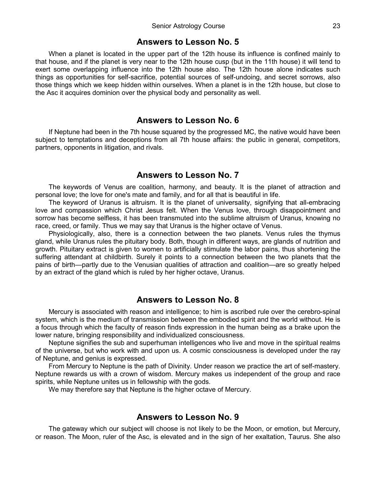#### **Answers to Lesson No. 5**

When a planet is located in the upper part of the 12th house its influence is confined mainly to that house, and if the planet is very near to the 12th house cusp (but in the 11th house) it will tend to exert some overlapping influence into the 12th house also. The 12th house alone indicates such things as opportunities for self-sacrifice, potential sources of self-undoing, and secret sorrows, also those things which we keep hidden within ourselves. When a planet is in the 12th house, but close to the Asc it acquires dominion over the physical body and personality as well.

#### **Answers to Lesson No. 6**

If Neptune had been in the 7th house squared by the progressed MC, the native would have been subject to temptations and deceptions from all 7th house affairs: the public in general, competitors, partners, opponents in litigation, and rivals.

#### **Answers to Lesson No. 7**

The keywords of Venus are coalition, harmony, and beauty. It is the planet of attraction and personal love; the love for one's mate and family, and for all that is beautiful in life.

The keyword of Uranus is altruism. It is the planet of universality, signifying that all-embracing love and compassion which Christ Jesus felt. When the Venus love, through disappointment and sorrow has become selfless, it has been transmuted into the sublime altruism of Uranus, knowing no race, creed, or family. Thus we may say that Uranus is the higher octave of Venus.

Physiologically, also, there is a connection between the two planets. Venus rules the thymus gland, while Uranus rules the pituitary body. Both, though in different ways, are glands of nutrition and growth. Pituitary extract is given to women to artificially stimulate the labor pains, thus shortening the suffering attendant at childbirth. Surely it points to a connection between the two planets that the pains of birth—partly due to the Venusian qualities of attraction and coalition—are so greatly helped by an extract of the gland which is ruled by her higher octave, Uranus.

#### **Answers to Lesson No. 8**

Mercury is associated with reason and intelligence; to him is ascribed rule over the cerebro-spinal system, which is the medium of transmission between the embodied spirit and the world without. He is a focus through which the faculty of reason finds expression in the human being as a brake upon the lower nature, bringing responsibility and individualized consciousness.

Neptune signifies the sub and superhuman intelligences who live and move in the spiritual realms of the universe, but who work with and upon us. A cosmic consciousness is developed under the ray of Neptune, and genius is expressed.

From Mercury to Neptune is the path of Divinity. Under reason we practice the art of self-mastery. Neptune rewards us with a crown of wisdom. Mercury makes us independent of the group and race spirits, while Neptune unites us in fellowship with the gods.

We may therefore say that Neptune is the higher octave of Mercury.

#### **Answers to Lesson No. 9**

The gateway which our subject will choose is not likely to be the Moon, or emotion, but Mercury, or reason. The Moon, ruler of the Asc, is elevated and in the sign of her exaltation, Taurus. She also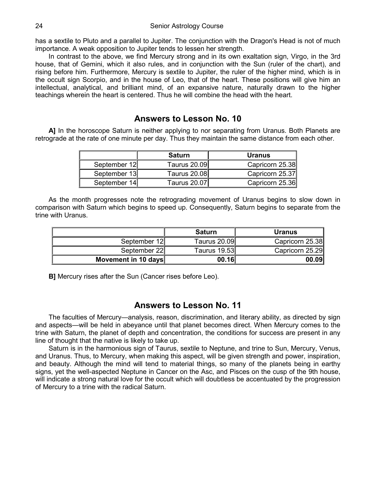has a sextile to Pluto and a parallel to Jupiter. The conjunction with the Dragon's Head is not of much importance. A weak opposition to Jupiter tends to lessen her strength.

In contrast to the above, we find Mercury strong and in its own exaltation sign, Virgo, in the 3rd house, that of Gemini, which it also rules, and in conjunction with the Sun (ruler of the chart), and rising before him. Furthermore, Mercury is sextile to Jupiter, the ruler of the higher mind, which is in the occult sign Scorpio, and in the house of Leo, that of the heart. These positions will give him an intellectual, analytical, and brilliant mind, of an expansive nature, naturally drawn to the higher teachings wherein the heart is centered. Thus he will combine the head with the heart.

## **Answers to Lesson No. 10**

**A]** In the horoscope Saturn is neither applying to nor separating from Uranus. Both Planets are retrograde at the rate of one minute per day. Thus they maintain the same distance from each other.

|              | <b>Saturn</b>       | <b>Uranus</b>   |
|--------------|---------------------|-----------------|
| September 12 | <b>Taurus 20.09</b> | Capricorn 25.38 |
| September 13 | <b>Taurus 20.08</b> | Capricorn 25.37 |
| September 14 | Taurus 20.07        | Capricorn 25.36 |

As the month progresses note the retrograding movement of Uranus begins to slow down in comparison with Saturn which begins to speed up. Consequently, Saturn begins to separate from the trine with Uranus.

|                     | <b>Saturn</b> | <b>Uranus</b>   |
|---------------------|---------------|-----------------|
| September 12        | Taurus 20.09  | Capricorn 25.38 |
| September 22        | Taurus 19.53  | Capricorn 25.29 |
| Movement in 10 days | 00.16         | 00.09           |

**B]** Mercury rises after the Sun (Cancer rises before Leo).

#### **Answers to Lesson No. 11**

The faculties of Mercury—analysis, reason, discrimination, and literary ability, as directed by sign and aspects—will be held in abeyance until that planet becomes direct. When Mercury comes to the trine with Saturn, the planet of depth and concentration, the conditions for success are present in any line of thought that the native is likely to take up.

Saturn is in the harmonious sign of Taurus, sextile to Neptune, and trine to Sun, Mercury, Venus, and Uranus. Thus, to Mercury, when making this aspect, will be given strength and power, inspiration, and beauty. Although the mind will tend to material things, so many of the planets being in earthy signs, yet the well-aspected Neptune in Cancer on the Asc, and Pisces on the cusp of the 9th house, will indicate a strong natural love for the occult which will doubtless be accentuated by the progression of Mercury to a trine with the radical Saturn.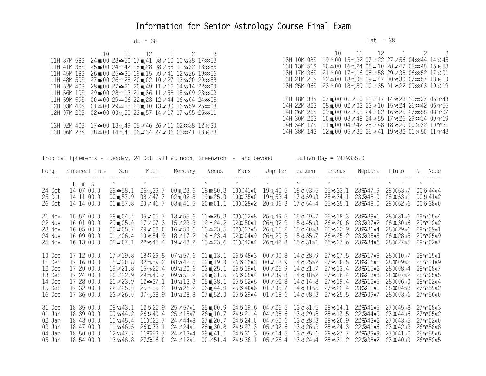## Information for Senior Astrology Course Final Exam

#### $\text{Lat.} = 38$

#### Lat. = 38

|                                                                                                                    | 10 11 12 1 2 3 |  |                                                                                                            | 10 11 12 1 2 3 |  |  |
|--------------------------------------------------------------------------------------------------------------------|----------------|--|------------------------------------------------------------------------------------------------------------|----------------|--|--|
| 11H 37M 58S 24 m 60 23 $\cong$ 50 17 m 41 08 $\neq$ 10 10 vs 38 17 $\approx$ 53                                    |                |  | 13H 10M 08S 19 <del>△</del> 00 15m, 32 07 <i>4</i> 22 27 <i>4</i> 56 04 <i>m</i> 44 14 x 45                |                |  |  |
| 11H 41M 38S $25 \text{ m}$ 00 24 $\text{m}$ 42 18 m, 28 08 $\text{\textless}$ 55 11 vs 32 18 $\text{\textless}$ 55 |                |  | 13H 13M 51S 20 <del>△</del> 00 16m, 24 08 <del>∠</del> 10 28 <i>∠</i> 47 05 <del>≈</del> 48 15 $\times$ 53 |                |  |  |
| 11H 45M 18S $26 \text{ m}$ 00 $25-35$ 19m, 15 09 $\neq$ 41 12 vs 26 19 $\approx$ 56                                |                |  | 13H 17M 36S $21 \triangleq 00$ 17m, 16 08 $\neq$ 58 29 $\neq$ 38 06 $\approx$ 52 17 $\times$ 01            |                |  |  |
| 11H 48M 59S 27 m 60 26 $\cong$ 28 20 m 02 10 $\neq$ 27 13 vs 20 20 $\approx$ 58                                    |                |  | 13H 21M 21S $22-00$ 18m, 08 09 $\neq$ 47 00 vs 30 07 $\approx$ 57 18 $\times$ 10                           |                |  |  |
| 11H 52M 40S 28 m 60 27 $\approx$ 21 20 m 49 11 $\neq$ 12 14 vs 14 22 $\approx$ 00                                  |                |  | 13H 25M 06S 23 <del>≏</del> 00 18m, 59 10 ≠ 35 01 vs 22 09 <del>≈</del> 03 19 x 19                         |                |  |  |
| 11H 56M 19S 29 m 00 28 $\pm$ 13 21 m 36 11 $\neq$ 58 15 v 09 23 $\approx$ 03                                       |                |  |                                                                                                            |                |  |  |
| 11H 59M 59S $00 \approx 00$ 29 $\approx 06$ 22m, 23 12 $\neq$ 44 16 vs 04 24 $\approx$ 05                          |                |  | 14H 18M 38S 07m <sub>1</sub> 00 01 ≠ 10 22 ≠ 17 14 vs 23 25 <del>≈</del> 27 05 ° 43                        |                |  |  |
| 12H 03M 40S $01 - 00$ 29 $-58$ 23m, 10 13 $\neq$ 30 16 vs 59 25 $\approx$ 08                                       |                |  | 14H 22M 32S 08m,00 02 $\neq$ 03 23 $\neq$ 10 15 vs 24 26 $\approx$ 42 06 ° 55                              |                |  |  |
| 12H 07M 20S 02 $\cong$ 00 00m,50 23m,57 14 $\neq$ 17 17 vs55 26 $\approx$ 11                                       |                |  | 14H 26M 26S 09m,00 02 ≠ 55 24 ≠ 02 16 vs 25 27 ≈ 58 08 r07                                                 |                |  |  |
|                                                                                                                    |                |  | 14H 30M 22S 10m,00 03≠48 24≠55 17vs26 29 214 09 m 19                                                       |                |  |  |
| 13H 02M 40S 17 $\approx$ 00 13m,49 05 $\neq$ 46 26 $\neq$ 16 02 $\approx$ 38 12 $\times$ 30                        |                |  | 14H 34M 17S 11m, 00 04 ≠ 42 25 ≠ 48 18 vs 29 00 x 32 10 r 31                                               |                |  |  |
| 13H 06M 23S 18 $\cong$ 00 14m,41 06 $\neq$ 34 27 $\neq$ 06 03 $\approx$ 241 13 $\times$ 38                         |                |  | 14H 38M 14S 12m 00 05≠35 26≠41 19 vs 32 01 × 50 11 m 43                                                    |                |  |  |

| Tropical Ephemeris - Tuesday, 24 Oct 1911 at noon, Greenwich - and beyond |                                                                                                |                                                                                                                           |                                                                                                                                      |                                                                                                                                        |                                                                                                                                                      |                                                                                                                               | Julian Day = 2419335.0                                                                                                    |                                                                                                     |                                                                                                                                          |                                                                                                               |                                                                                                                                                                                    |                                                                                                                                                                                                                                                                                                                                                                                                                                                                                                   |
|---------------------------------------------------------------------------|------------------------------------------------------------------------------------------------|---------------------------------------------------------------------------------------------------------------------------|--------------------------------------------------------------------------------------------------------------------------------------|----------------------------------------------------------------------------------------------------------------------------------------|------------------------------------------------------------------------------------------------------------------------------------------------------|-------------------------------------------------------------------------------------------------------------------------------|---------------------------------------------------------------------------------------------------------------------------|-----------------------------------------------------------------------------------------------------|------------------------------------------------------------------------------------------------------------------------------------------|---------------------------------------------------------------------------------------------------------------|------------------------------------------------------------------------------------------------------------------------------------------------------------------------------------|---------------------------------------------------------------------------------------------------------------------------------------------------------------------------------------------------------------------------------------------------------------------------------------------------------------------------------------------------------------------------------------------------------------------------------------------------------------------------------------------------|
| Long.<br>------                                                           | Sidereal Time                                                                                  | Sun                                                                                                                       | Moon                                                                                                                                 | Mercury                                                                                                                                | Venus                                                                                                                                                | Mars                                                                                                                          | Jupiter                                                                                                                   | Saturn                                                                                              | Uranus                                                                                                                                   | Neptune                                                                                                       | Pluto                                                                                                                                                                              | N. Node<br>$\begin{array}{cccccccccccccc} \multicolumn{2}{c}{} & \multicolumn{2}{c}{} & \multicolumn{2}{c}{} & \multicolumn{2}{c}{} & \multicolumn{2}{c}{} & \multicolumn{2}{c}{} & \multicolumn{2}{c}{} & \multicolumn{2}{c}{} & \multicolumn{2}{c}{} & \multicolumn{2}{c}{} & \multicolumn{2}{c}{} & \multicolumn{2}{c}{} & \multicolumn{2}{c}{} & \multicolumn{2}{c}{} & \multicolumn{2}{c}{} & \multicolumn{2}{c}{} & \multicolumn{2}{c}{} & \multicolumn{2}{c}{} & \multicolumn{2}{c}{} & \$ |
| 24 Oct<br>25 Oct<br>26 Oct                                                | h m s<br>14 07 00.0<br>14 11 00.0<br>14 14 00.0                                                | $\circ$<br>$29 - 58.1$<br>$00 \text{ m}$ .57.9<br>$01 \, \text{m}$ , 57.8                                                 | $0 \qquad$<br>26 m, 39.7<br>$08 \neq 47.7$<br>$20 \n4 46.7$                                                                          | $\circ$<br>$00 \, \text{m}$ , 23.6<br>$02 \, \text{m}$ , 02.8<br>$03 \, \text{m}$ , 41.5                                               | $\circ$<br>$\sim$<br>$18 \text{ m}50.3$<br>$19 \text{ m} 25.0$<br>$20 \text{ m} 01.1$                                                                | $\circ$<br>$\sim$<br>$10 \times 4160$<br>$10\,\text{K}$ 35 $\text{n}0$<br>$10 \times 28R2$                                    | $\circ$ ,<br>19m,40.5<br>19m,53.4<br>$20 \, \text{m}$ , 06.3                                                              | $0 \qquad$<br>$18503$ R5<br>$17$ ୪ $59$ $\scriptstyle{\text{R}}$ $\!0$<br>17 ծ 54ո4                 | $\circ$<br>$\rightarrow$<br>$25 \times 33.1$<br>$25 \times 34.1$<br>$25 \times 35.1$                                                     | $\circ$<br>$\cdot$<br>239647.9<br>239548.0<br>239648.0                                                        | $0 \qquad \qquad$<br>28页53R7<br>28页53R1<br>$28\,\rm{K}$ 52 $\rm{R}$ 6                                                                                                              | $\circ$ ,<br>00844 <sub>B</sub> 4<br>$00841*2$<br>$00$ ୪ $38$ ռ $0$                                                                                                                                                                                                                                                                                                                                                                                                                               |
| 21 Nov<br>22 Nov<br>23 Nov<br>24 Nov<br>25 Nov                            | 15 57 00.0<br>16 01 00.0<br>16 05 00.0<br>16 09 00.0<br>16 13 00.0                             | $28 \, \text{m}$ , 04.4<br>$29 \text{ m} 05.0$<br>$00 \neq 05.7$<br>$01 \neq 06.4$<br>$02 \neq 07.1$                      | $17 \neq 07.3$<br>$29 \neq 03.0$<br>$10 \times 54.9$<br>$22$ vs 45.4                                                                 | $05 \neq 05.7$ $13 \neq 55.6$ $11 \rightleftharpoons 25.3$<br>$15 \neq 23.3$<br>$16 \ne 50.6$<br>$18 \neq 17.2$                        | 12≏24.2<br>$13$ $\in$ $23.5$<br>$14 = 23.4$<br>$19 \neq 43.2$ $15 = 23.6$                                                                            | $03\text{H}12\text{R}8$<br>$02\text{H}50n1$<br>$02\,\text{K}27\,\text{n}5$<br>$02\pi04*9$<br>$01\,\text{I}$ 42 <sup>R</sup> 4 | 25 m, 49.5<br>$26 \, \text{m}$ , 02.9<br>$26 \,\mathrm{m}$ , 16.2<br>26 m, 29.5<br>26 m, 42.8                             | 15 ծ 49ռ7<br>$15845$ RO<br>$15$ 8 $40$ r $3$<br>$15 8 35$ r $7$<br>15 ծ 31 ռ1                       | $26 \times 18.3$<br>$26 \times 20.6$<br>$26 \times 22.9$<br>$26 \times 25.2$<br>$26 \times 27.6$                                         | 23S38R1<br>$23$ S $37n2$<br>230636R4<br>239335B<br>23 <b>S</b> 34r6                                           | $28\text{H}31\text{R}6$<br>$28\text{H}30\text{n}6$<br>$28 \times 2986$<br>28页28%5<br>$28 \times 2785$                                                                              | $29$ $\gamma$ $15n4$<br>$29$ $\gamma$ $12n2$<br>$29$ m $09R1$<br>29905B9<br>$29$ $\gamma$ 02 <sub>B</sub> 7                                                                                                                                                                                                                                                                                                                                                                                       |
| 10 Dec<br>11 Dec<br>12 Dec<br>13 Dec<br>14 Dec<br>15 Dec<br>16 Dec        | 17 12 00.0<br>17 16 00.0<br>17 20 00.0<br>17 24 00.0<br>17 28 00.0<br>17 32 00.0<br>17 36 00.0 | $17 \ne 19.8$<br>$18 \neq 20.8$<br>$19 \neq 21.8$<br>$20 \neq 22.9$<br>$21 \neq 23.9$<br>$22 \neq 25.0$<br>$23 \neq 26.0$ | 18 29.8<br>$02 \text{ m} 39.2$<br>$16 \,\mathrm{m}$ 22.4<br>$29 \text{ m}$ 40.7<br>$12-37.1$<br>$25 = 15.2$<br>$07 \text{ m}$ , 38.9 | $07 \times 57.6$<br>$08 \times 42.5$<br>$09$ vs $20.6$<br>$09 \times 51.2$<br>$10 \times 13.3$<br>$10 \times 26.2$<br>$10 \times 28.8$ | 01 m, 13.1<br>$02 \, \text{m}$ , $19.0$<br>03 m 25.1<br>$04 \, \text{m}$ , 31.5<br>05 m. 38.1<br>06 m. 44.9<br>$07 \text{ m}$ , 52.0                 | $26848$ R3<br>26833R3<br>$26819$ R $0$<br>26 8 05ո4<br>$25852$ R6<br>$25840*6$<br>$25829$ R4                                  | $00 \neq 00.8$<br>$00 \ne 13.9$<br>$00 \neq 26.9$<br>$00 \neq 39.8$<br>$00 \neq 52.8$<br>$01 \neq 05.7$<br>$01 \neq 18.6$ | $14828$ R $9$<br>$14825$ R2<br>14 8 21 B 7<br>14818<br>14 8 14 ฉ8<br>14811B5<br>14 ծ 08ռ3           | $27 \times 07.5$<br>$27 \times 10.5$<br>$27 \times 13.4$<br>$27 \times 16.4$<br>$27 \times 19.4$<br>$27 \times 22.4$<br>$27 \times 25.5$ | 23517R8<br>23516R5<br>$23$ Sa $15n2$<br>$23$ Sa $13$ <sub>B</sub> $8$<br>239312B5<br>$23$ S $11*1$<br>23G09R7 | 28页10g7<br>28Д09в5<br>$28 \times 08B4$<br>$28 \times 07R2$<br>$28 \times 06 \times 0$<br>$28 \times 04*8$<br>$28 \times 03$ R6                                                     | $28$ $\Upsilon$ $15n1$<br>$289$ $11B9$<br>$28$ r $08$ <sub>R</sub> 7<br>28 m 05R5<br>$28$ T $02_B4$<br>$27$ $\Upsilon$ 59R2<br>$27$ r 56 $\scriptstyle\rm R0$                                                                                                                                                                                                                                                                                                                                     |
| 31 Dec<br>01 Jan<br>02 Jan<br>03 Jan<br>04 Jan<br>05 Jan                  | 18 35 00.0<br>18 39 00.0<br>18 43 00.0<br>18 47 00.0<br>18 50 00.0<br>18 54 00.0               | $08 \times 43.1$<br>$09 \times 44.2$<br>$10 \times 45.4$<br>$11 \times 46.5$<br>$12 \times 47.7$<br>$13 \times 48.8$      | 12822.9<br>26840.4<br>$11\,\text{K}$ 25.7<br>26页33.1<br>$11\,$ $553.7$<br>279316.0                                                   | $25 \neq 57n1$<br>$25 \neq 15R$<br>$24 \neq 44B$<br>$24 \angle 24R1$<br>$24 \neq 13R4$<br>$24 \neq 12n1$                               | $25 \, \text{m}$ , 00.9<br>$26 \, \text{m}$ , 10.7<br>$27 \text{ m}$ , 20.7<br>$28 \, \text{m}$ , 30.8<br>$29 \,\mathrm{m}$ , 41.1<br>$00 \neq 51.4$ | 24 8 19.6<br>24 8 21.4<br>24 8 24 .0<br>24 8 27 .3<br>24 8 31 .3<br>24 8 36 1                                                 | $04 \neq 26.5$<br>$04 \neq 38.6$<br>$04 \neq 50.6$<br>$05 \neq 02.6$<br>$05 \neq 14.5$<br>$05 \neq 26.4$                  | $13831\overline{\text{R}}5$<br>$13\delta29$ R $8$<br>$13828$ R3<br>1382689<br>$13825$ R6<br>13824B4 | $28 \times 14.1$<br>$28 \times 17.5$<br>$28 \times 20.9$<br>$28 \times 24.3$<br>$28 \times 27.7$<br>$28 \times 31.2$                     | 229346B<br>$22$ Sa $44R9$<br>$22$ SA $3$ R $2$<br>$22$ S41R6<br>$22$ S39R9<br>$22$ S $38n2$                   | $27 \text{I} 45 \text{R} 8$<br>$27 \text{ H} 44 \text{ R}6$<br>$27 \text{ H} 43 \text{ R}5$<br>$27 \text{ H} 42 \text{ R} 3$<br>$27 \text{H}41n2$<br>$27 \text{ H} 40 \text{ R} 0$ | $27$ m $08R3$<br>$27$ r 05 $n2$<br>$27$ r $02$ <sub>R</sub> $0$<br>$26$ $958R$<br>$26$ r 55 R<br>$26$ m $52n5$                                                                                                                                                                                                                                                                                                                                                                                    |